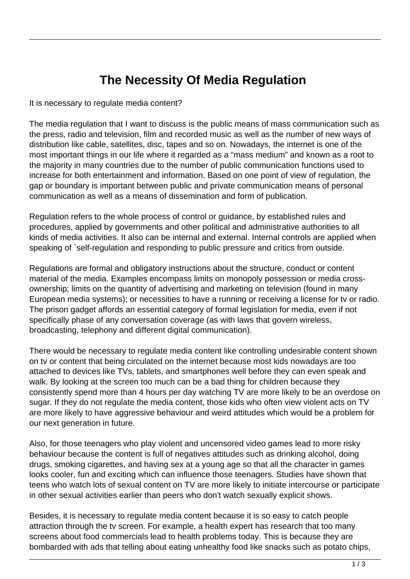## **The Necessity Of Media Regulation**

It is necessary to regulate media content?

The media regulation that I want to discuss is the public means of mass communication such as the press, radio and television, film and recorded music as well as the number of new ways of distribution like cable, satellites, disc, tapes and so on. Nowadays, the internet is one of the most important things in our life where it regarded as a "mass medium" and known as a root to the majority in many countries due to the number of public communication functions used to increase for both entertainment and information. Based on one point of view of regulation, the gap or boundary is important between public and private communication means of personal communication as well as a means of dissemination and form of publication.

Regulation refers to the whole process of control or guidance, by established rules and procedures, applied by governments and other political and administrative authorities to all kinds of media activities. It also can be internal and external. Internal controls are applied when speaking of `self-regulation and responding to public pressure and critics from outside.

Regulations are formal and obligatory instructions about the structure, conduct or content material of the media. Examples encompass limits on monopoly possession or media crossownership; limits on the quantity of advertising and marketing on television (found in many European media systems); or necessities to have a running or receiving a license for tv or radio. The prison gadget affords an essential category of formal legislation for media, even if not specifically phase of any conversation coverage (as with laws that govern wireless, broadcasting, telephony and different digital communication).

There would be necessary to regulate media content like controlling undesirable content shown on tv or content that being circulated on the internet because most kids nowadays are too attached to devices like TVs, tablets, and smartphones well before they can even speak and walk. By looking at the screen too much can be a bad thing for children because they consistently spend more than 4 hours per day watching TV are more likely to be an overdose on sugar. If they do not regulate the media content, those kids who often view violent acts on TV are more likely to have aggressive behaviour and weird attitudes which would be a problem for our next generation in future.

Also, for those teenagers who play violent and uncensored video games lead to more risky behaviour because the content is full of negatives attitudes such as drinking alcohol, doing drugs, smoking cigarettes, and having sex at a young age so that all the character in games looks cooler, fun and exciting which can influence those teenagers. Studies have shown that teens who watch lots of sexual content on TV are more likely to initiate intercourse or participate in other sexual activities earlier than peers who don't watch sexually explicit shows.

Besides, it is necessary to regulate media content because it is so easy to catch people attraction through the tv screen. For example, a health expert has research that too many screens about food commercials lead to health problems today. This is because they are bombarded with ads that telling about eating unhealthy food like snacks such as potato chips,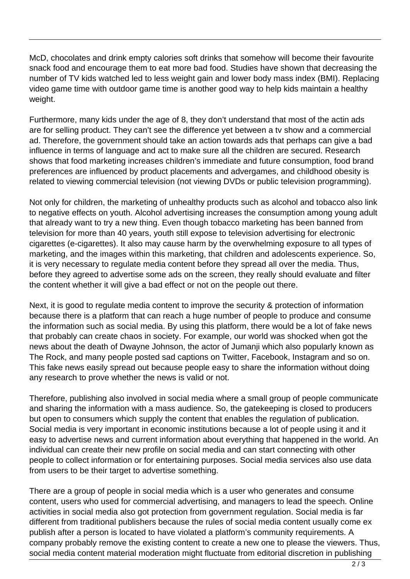McD, chocolates and drink empty calories soft drinks that somehow will become their favourite snack food and encourage them to eat more bad food. Studies have shown that decreasing the number of TV kids watched led to less weight gain and lower body mass index (BMI). Replacing video game time with outdoor game time is another good way to help kids maintain a healthy weight.

Furthermore, many kids under the age of 8, they don't understand that most of the actin ads are for selling product. They can't see the difference yet between a tv show and a commercial ad. Therefore, the government should take an action towards ads that perhaps can give a bad influence in terms of language and act to make sure all the children are secured. Research shows that food marketing increases children's immediate and future consumption, food brand preferences are influenced by product placements and advergames, and childhood obesity is related to viewing commercial television (not viewing DVDs or public television programming).

Not only for children, the marketing of unhealthy products such as alcohol and tobacco also link to negative effects on youth. Alcohol advertising increases the consumption among young adult that already want to try a new thing. Even though tobacco marketing has been banned from television for more than 40 years, youth still expose to television advertising for electronic cigarettes (e-cigarettes). It also may cause harm by the overwhelming exposure to all types of marketing, and the images within this marketing, that children and adolescents experience. So, it is very necessary to regulate media content before they spread all over the media. Thus, before they agreed to advertise some ads on the screen, they really should evaluate and filter the content whether it will give a bad effect or not on the people out there.

Next, it is good to regulate media content to improve the security & protection of information because there is a platform that can reach a huge number of people to produce and consume the information such as social media. By using this platform, there would be a lot of fake news that probably can create chaos in society. For example, our world was shocked when got the news about the death of Dwayne Johnson, the actor of Jumanji which also popularly known as The Rock, and many people posted sad captions on Twitter, Facebook, Instagram and so on. This fake news easily spread out because people easy to share the information without doing any research to prove whether the news is valid or not.

Therefore, publishing also involved in social media where a small group of people communicate and sharing the information with a mass audience. So, the gatekeeping is closed to producers but open to consumers which supply the content that enables the regulation of publication. Social media is very important in economic institutions because a lot of people using it and it easy to advertise news and current information about everything that happened in the world. An individual can create their new profile on social media and can start connecting with other people to collect information or for entertaining purposes. Social media services also use data from users to be their target to advertise something.

There are a group of people in social media which is a user who generates and consume content, users who used for commercial advertising, and managers to lead the speech. Online activities in social media also got protection from government regulation. Social media is far different from traditional publishers because the rules of social media content usually come ex publish after a person is located to have violated a platform's community requirements. A company probably remove the existing content to create a new one to please the viewers. Thus, social media content material moderation might fluctuate from editorial discretion in publishing